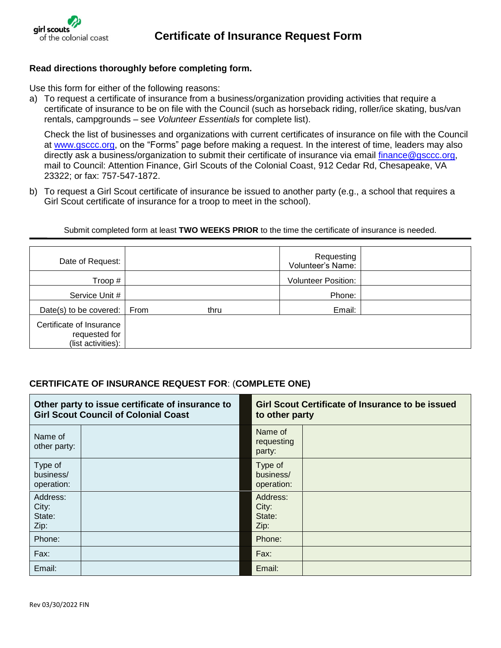

## **Read directions thoroughly before completing form.**

Use this form for either of the following reasons:

a) To request a certificate of insurance from a business/organization providing activities that require a certificate of insurance to be on file with the Council (such as horseback riding, roller/ice skating, bus/van rentals, campgrounds – see *Volunteer Essentials* for complete list).

Check the list of businesses and organizations with current certificates of insurance on file with the Council at [www.gsccc.org,](https://www.gsccc.org/en/our-council/forms-and-documents.html?q=certificate) on the "Forms" page before making a request. In the interest of time, leaders may also directly ask a business/organization to submit their certificate of insurance via email [finance@gsccc.org,](mailto:finance@gsccc.org) mail to Council: Attention Finance, Girl Scouts of the Colonial Coast, 912 Cedar Rd, Chesapeake, VA 23322; or fax: 757-547-1872.

b) To request a Girl Scout certificate of insurance be issued to another party (e.g., a school that requires a Girl Scout certificate of insurance for a troop to meet in the school).

Submit completed form at least **TWO WEEKS PRIOR** to the time the certificate of insurance is needed.

| Date of Request:                                                |      |      | Requesting<br>Volunteer's Name: |  |
|-----------------------------------------------------------------|------|------|---------------------------------|--|
| Troop#                                                          |      |      | <b>Volunteer Position:</b>      |  |
| Service Unit #                                                  |      |      | Phone:                          |  |
| Date(s) to be covered:                                          | From | thru | Email:                          |  |
| Certificate of Insurance<br>requested for<br>(list activities): |      |      |                                 |  |

## **CERTIFICATE OF INSURANCE REQUEST FOR**: (**COMPLETE ONE)**

| Other party to issue certificate of insurance to<br><b>Girl Scout Council of Colonial Coast</b> |  | <b>Girl Scout Certificate of Insurance to be issued</b><br>to other party |  |
|-------------------------------------------------------------------------------------------------|--|---------------------------------------------------------------------------|--|
| Name of<br>other party:                                                                         |  | Name of<br>requesting<br>party:                                           |  |
| Type of<br>business/<br>operation:                                                              |  | Type of<br>business/<br>operation:                                        |  |
| Address:<br>City:<br>State:<br>Zip:                                                             |  | Address:<br>City:<br>State:<br>Zip:                                       |  |
| Phone:                                                                                          |  | Phone:                                                                    |  |
| Fax:                                                                                            |  | Fax:                                                                      |  |
| Email:                                                                                          |  | Email:                                                                    |  |